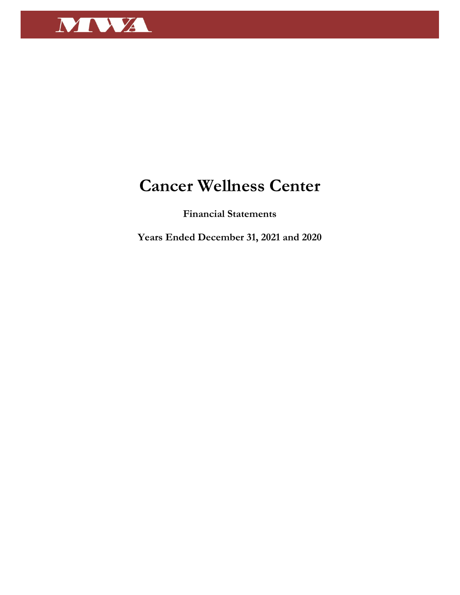

# **Cancer Wellness Center**

**Financial Statements** 

**Years Ended December 31, 2021 and 2020**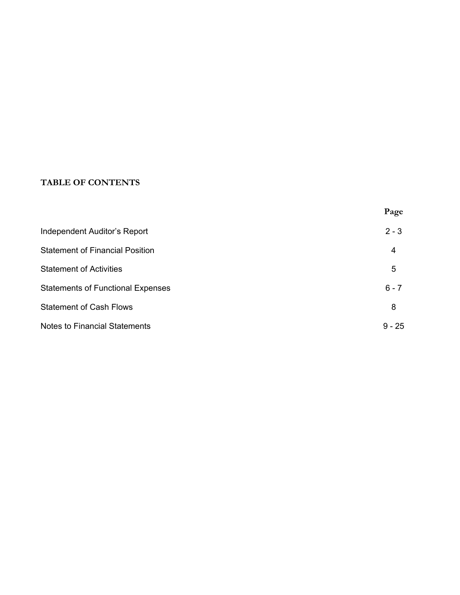# **TABLE OF CONTENTS**

|                                          | Page     |
|------------------------------------------|----------|
| <b>Independent Auditor's Report</b>      | $2 - 3$  |
| <b>Statement of Financial Position</b>   | 4        |
| <b>Statement of Activities</b>           | 5        |
| <b>Statements of Functional Expenses</b> | $6 - 7$  |
| <b>Statement of Cash Flows</b>           | 8        |
| <b>Notes to Financial Statements</b>     | $9 - 25$ |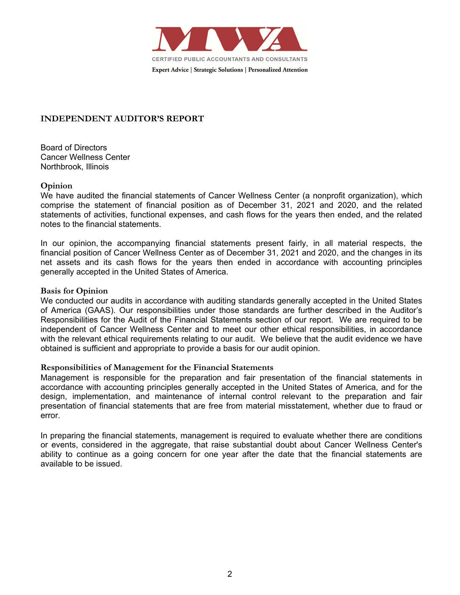

## **INDEPENDENT AUDITOR'S REPORT**

Board of Directors Cancer Wellness Center Northbrook, Illinois

#### **Opinion**

We have audited the financial statements of Cancer Wellness Center (a nonprofit organization), which comprise the statement of financial position as of December 31, 2021 and 2020, and the related statements of activities, functional expenses, and cash flows for the years then ended, and the related notes to the financial statements.

In our opinion, the accompanying financial statements present fairly, in all material respects, the financial position of Cancer Wellness Center as of December 31, 2021 and 2020, and the changes in its net assets and its cash flows for the years then ended in accordance with accounting principles generally accepted in the United States of America.

#### **Basis for Opinion**

We conducted our audits in accordance with auditing standards generally accepted in the United States of America (GAAS). Our responsibilities under those standards are further described in the Auditor's Responsibilities for the Audit of the Financial Statements section of our report. We are required to be independent of Cancer Wellness Center and to meet our other ethical responsibilities, in accordance with the relevant ethical requirements relating to our audit. We believe that the audit evidence we have obtained is sufficient and appropriate to provide a basis for our audit opinion.

#### **Responsibilities of Management for the Financial Statements**

Management is responsible for the preparation and fair presentation of the financial statements in accordance with accounting principles generally accepted in the United States of America, and for the design, implementation, and maintenance of internal control relevant to the preparation and fair presentation of financial statements that are free from material misstatement, whether due to fraud or error.

In preparing the financial statements, management is required to evaluate whether there are conditions or events, considered in the aggregate, that raise substantial doubt about Cancer Wellness Center's ability to continue as a going concern for one year after the date that the financial statements are available to be issued.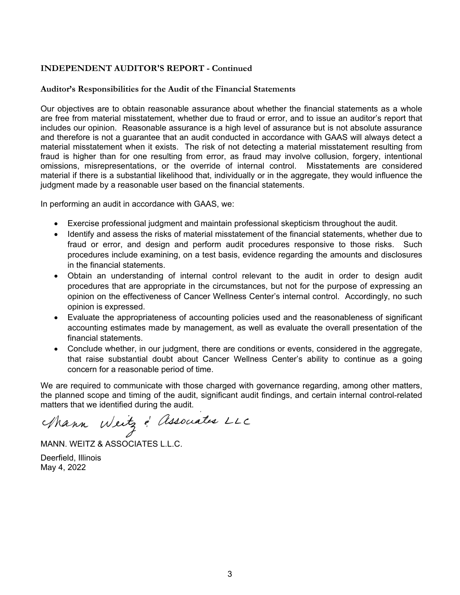## **INDEPENDENT AUDITOR'S REPORT - Continued**

#### **Auditor's Responsibilities for the Audit of the Financial Statements**

Our objectives are to obtain reasonable assurance about whether the financial statements as a whole are free from material misstatement, whether due to fraud or error, and to issue an auditor's report that includes our opinion. Reasonable assurance is a high level of assurance but is not absolute assurance and therefore is not a guarantee that an audit conducted in accordance with GAAS will always detect a material misstatement when it exists. The risk of not detecting a material misstatement resulting from fraud is higher than for one resulting from error, as fraud may involve collusion, forgery, intentional omissions, misrepresentations, or the override of internal control. Misstatements are considered material if there is a substantial likelihood that, individually or in the aggregate, they would influence the judgment made by a reasonable user based on the financial statements.

In performing an audit in accordance with GAAS, we:

- Exercise professional judgment and maintain professional skepticism throughout the audit.
- Identify and assess the risks of material misstatement of the financial statements, whether due to fraud or error, and design and perform audit procedures responsive to those risks. Such procedures include examining, on a test basis, evidence regarding the amounts and disclosures in the financial statements.
- Obtain an understanding of internal control relevant to the audit in order to design audit procedures that are appropriate in the circumstances, but not for the purpose of expressing an opinion on the effectiveness of Cancer Wellness Center's internal control. Accordingly, no such opinion is expressed.
- Evaluate the appropriateness of accounting policies used and the reasonableness of significant accounting estimates made by management, as well as evaluate the overall presentation of the financial statements.
- Conclude whether, in our judgment, there are conditions or events, considered in the aggregate, that raise substantial doubt about Cancer Wellness Center's ability to continue as a going concern for a reasonable period of time.

We are required to communicate with those charged with governance regarding, among other matters, the planned scope and timing of the audit, significant audit findings, and certain internal control-related matters that we identified during the audit.

Mann Weitz & Associates LLC

MANN. WEITZ & ASSOCIATES L.L.C.

Deerfield, Illinois May 4, 2022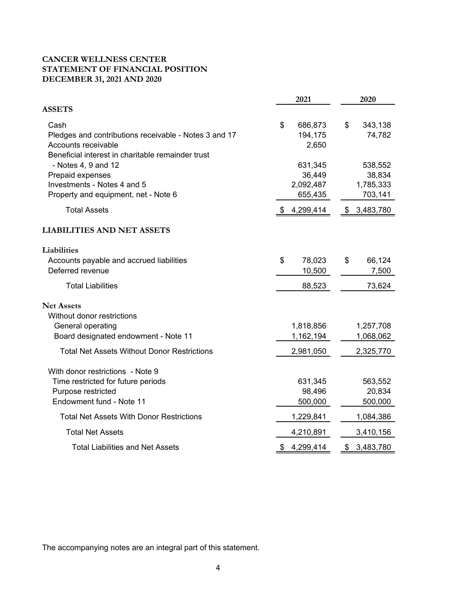## **CANCER WELLNESS CENTER STATEMENT OF FINANCIAL POSITION DECEMBER 31, 2021 AND 2020**

|                                                                                                                                           | 2021                                      | 2020                                      |
|-------------------------------------------------------------------------------------------------------------------------------------------|-------------------------------------------|-------------------------------------------|
| <b>ASSETS</b>                                                                                                                             |                                           |                                           |
| Cash<br>Pledges and contributions receivable - Notes 3 and 17<br>Accounts receivable<br>Beneficial interest in charitable remainder trust | \$<br>686,873<br>194,175<br>2,650         | $\$\$<br>343,138<br>74,782                |
| - Notes 4, 9 and 12<br>Prepaid expenses<br>Investments - Notes 4 and 5<br>Property and equipment, net - Note 6                            | 631,345<br>36,449<br>2,092,487<br>655,435 | 538,552<br>38,834<br>1,785,333<br>703,141 |
| <b>Total Assets</b>                                                                                                                       | 4,299,414<br>\$                           | 3,483,780<br>\$                           |
| <b>LIABILITIES AND NET ASSETS</b>                                                                                                         |                                           |                                           |
| Liabilities<br>Accounts payable and accrued liabilities<br>Deferred revenue                                                               | 78,023<br>\$<br>10,500                    | \$<br>66,124<br>7,500                     |
| <b>Total Liabilities</b>                                                                                                                  | 88,523                                    | 73,624                                    |
| <b>Net Assets</b><br>Without donor restrictions<br>General operating<br>Board designated endowment - Note 11                              | 1,818,856<br>1,162,194                    | 1,257,708<br>1,068,062                    |
| <b>Total Net Assets Without Donor Restrictions</b>                                                                                        | 2,981,050                                 | 2,325,770                                 |
| With donor restrictions - Note 9<br>Time restricted for future periods<br>Purpose restricted                                              | 631,345<br>98,496                         | 563,552<br>20,834                         |
| Endowment fund - Note 11                                                                                                                  | 500,000                                   | 500,000                                   |
| <b>Total Net Assets With Donor Restrictions</b>                                                                                           | 1,229,841                                 | 1,084,386                                 |
| <b>Total Net Assets</b>                                                                                                                   | 4,210,891                                 | 3,410,156                                 |
| <b>Total Liabilities and Net Assets</b>                                                                                                   | 4,299,414<br>\$                           | 3,483,780<br>\$                           |

The accompanying notes are an integral part of this statement.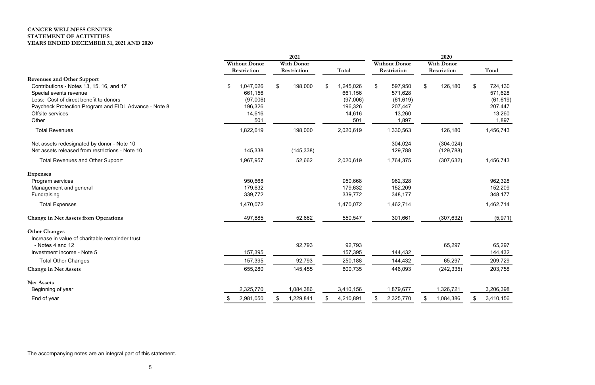# **CANCER WELLNESS CENTER STATEMENT OF ACTIVITIES YEARS ENDED DECEMBER 31, 2021 AND 2020**

|                                                       | 2021                 |                   |                 |                 | 2020              |                 |  |  |
|-------------------------------------------------------|----------------------|-------------------|-----------------|-----------------|-------------------|-----------------|--|--|
|                                                       | <b>Without Donor</b> | <b>With Donor</b> |                 | Without Donor   | <b>With Donor</b> |                 |  |  |
|                                                       | Restriction          | Restriction       | Total           | Restriction     | Restriction       | Total           |  |  |
| <b>Revenues and Other Support</b>                     |                      |                   |                 |                 |                   |                 |  |  |
| Contributions - Notes 13, 15, 16, and 17              | 1,047,026<br>\$      | $\$\$<br>198,000  | 1,245,026<br>£. | 597,950<br>\$   | 126,180<br>\$     | 724,130<br>\$   |  |  |
| Special events revenue                                | 661,156              |                   | 661,156         | 571,628         |                   | 571,628         |  |  |
| Less: Cost of direct benefit to donors                | (97,006)             |                   | (97,006)        | (61, 619)       |                   | (61, 619)       |  |  |
| Paycheck Protection Program and EIDL Advance - Note 8 | 196,326              |                   | 196,326         | 207,447         |                   | 207,447         |  |  |
| Offsite services                                      | 14,616               |                   | 14,616          | 13,260          |                   | 13,260          |  |  |
| Other                                                 | 501                  |                   | 501             | 1,897           |                   | 1,897           |  |  |
| <b>Total Revenues</b>                                 | 1,822,619            | 198,000           | 2,020,619       | 1,330,563       | 126,180           | 1,456,743       |  |  |
| Net assets redesignated by donor - Note 10            |                      |                   |                 | 304,024         | (304, 024)        |                 |  |  |
| Net assets released from restrictions - Note 10       | 145,338              | (145, 338)        |                 | 129,788         | (129, 788)        |                 |  |  |
| <b>Total Revenues and Other Support</b>               | 1,967,957            | 52,662            | 2,020,619       | 1,764,375       | (307, 632)        | 1,456,743       |  |  |
| <b>Expenses</b>                                       |                      |                   |                 |                 |                   |                 |  |  |
| Program services                                      | 950,668              |                   | 950,668         | 962,328         |                   | 962,328         |  |  |
| Management and general                                | 179,632              |                   | 179,632         | 152,209         |                   | 152,209         |  |  |
| Fundraising                                           | 339,772              |                   | 339,772         | 348,177         |                   | 348,177         |  |  |
| <b>Total Expenses</b>                                 | 1,470,072            |                   | 1,470,072       | 1,462,714       |                   | 1,462,714       |  |  |
| <b>Change in Net Assets from Operations</b>           | 497,885              | 52,662            | 550,547         | 301,661         | (307, 632)        | (5,971)         |  |  |
| <b>Other Changes</b>                                  |                      |                   |                 |                 |                   |                 |  |  |
| Increase in value of charitable remainder trust       |                      |                   |                 |                 |                   |                 |  |  |
| - Notes 4 and 12                                      |                      | 92,793            | 92,793          |                 | 65,297            | 65,297          |  |  |
| Investment income - Note 5                            | 157,395              |                   | 157,395         | 144,432         |                   | 144,432         |  |  |
| <b>Total Other Changes</b>                            | 157,395              | 92,793            | 250,188         | 144,432         | 65,297            | 209,729         |  |  |
| <b>Change in Net Assets</b>                           | 655,280              | 145,455           | 800,735         | 446,093         | (242, 335)        | 203,758         |  |  |
| <b>Net Assets</b>                                     |                      |                   |                 |                 |                   |                 |  |  |
| Beginning of year                                     | 2,325,770            | 1,084,386         | 3,410,156       | 1,879,677       | 1,326,721         | 3,206,398       |  |  |
| End of year                                           | 2,981,050<br>\$      | 1,229,841<br>\$   | 4,210,891<br>\$ | 2,325,770<br>\$ | 1,084,386<br>\$   | 3,410,156<br>\$ |  |  |

The accompanying notes are an integral part of this statement.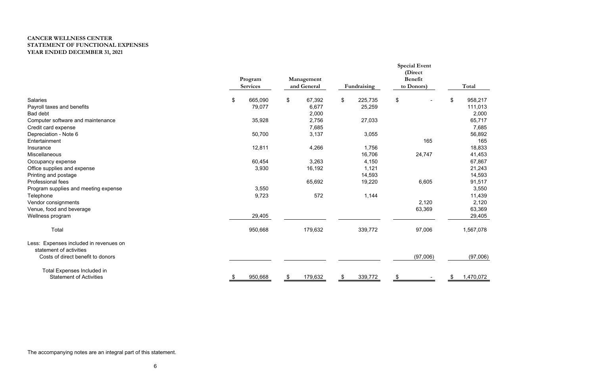# **CANCER WELLNESS CENTER STATEMENT OF FUNCTIONAL EXPENSES YEAR ENDED DECEMBER 31, 2021**

|                                        | Program<br><b>Services</b> |               | Management<br>and General |                | Fundraising | <b>Special Event</b><br>(Direct<br><b>Benefit</b><br>to Donors) |                           | Total     |
|----------------------------------------|----------------------------|---------------|---------------------------|----------------|-------------|-----------------------------------------------------------------|---------------------------|-----------|
| <b>Salaries</b>                        | \$<br>665,090              | $\frac{1}{2}$ | 67,392                    | $\mathfrak{L}$ | 225,735     | \$                                                              | $\boldsymbol{\mathsf{S}}$ | 958,217   |
| Payroll taxes and benefits             | 79,077                     |               | 6,677                     |                | 25,259      |                                                                 |                           | 111,013   |
| <b>Bad debt</b>                        |                            |               | 2,000                     |                |             |                                                                 |                           | 2,000     |
| Computer software and maintenance      | 35,928                     |               | 2,756                     |                | 27,033      |                                                                 |                           | 65,717    |
| Credit card expense                    |                            |               | 7,685                     |                |             |                                                                 |                           | 7,685     |
| Depreciation - Note 6                  | 50,700                     |               | 3,137                     |                | 3,055       |                                                                 |                           | 56,892    |
| Entertainment                          |                            |               |                           |                |             | 165                                                             |                           | 165       |
| Insurance                              | 12,811                     |               | 4,266                     |                | 1,756       |                                                                 |                           | 18,833    |
| Miscellaneous                          |                            |               |                           |                | 16,706      | 24,747                                                          |                           | 41,453    |
| Occupancy expense                      | 60,454                     |               | 3,263                     |                | 4,150       |                                                                 |                           | 67,867    |
| Office supplies and expense            | 3,930                      |               | 16,192                    |                | 1,121       |                                                                 |                           | 21,243    |
| Printing and postage                   |                            |               |                           |                | 14,593      |                                                                 |                           | 14,593    |
| <b>Professional fees</b>               |                            |               | 65,692                    |                | 19,220      | 6,605                                                           |                           | 91,517    |
| Program supplies and meeting expense   | 3,550                      |               |                           |                |             |                                                                 |                           | 3,550     |
| Telephone                              | 9,723                      |               | 572                       |                | 1,144       |                                                                 |                           | 11,439    |
| Vendor consignments                    |                            |               |                           |                |             | 2,120                                                           |                           | 2,120     |
| Venue, food and beverage               |                            |               |                           |                |             | 63,369                                                          |                           | 63,369    |
| Wellness program                       | 29,405                     |               |                           |                |             |                                                                 |                           | 29,405    |
| Total                                  | 950,668                    |               | 179,632                   |                | 339,772     | 97,006                                                          |                           | 1,567,078 |
| Less: Expenses included in revenues on |                            |               |                           |                |             |                                                                 |                           |           |
| statement of activities                |                            |               |                           |                |             |                                                                 |                           |           |
| Costs of direct benefit to donors      |                            |               |                           |                |             | (97,006)                                                        |                           | (97,006)  |
| <b>Total Expenses Included in</b>      |                            |               |                           |                |             |                                                                 |                           |           |
| <b>Statement of Activities</b>         | 950,668                    | \$            | 179,632                   | \$             | 339,772     | \$                                                              |                           | 1,470,072 |

The accompanying notes are an integral part of this statement.

| (97,006) |
|----------|
|          |
|          |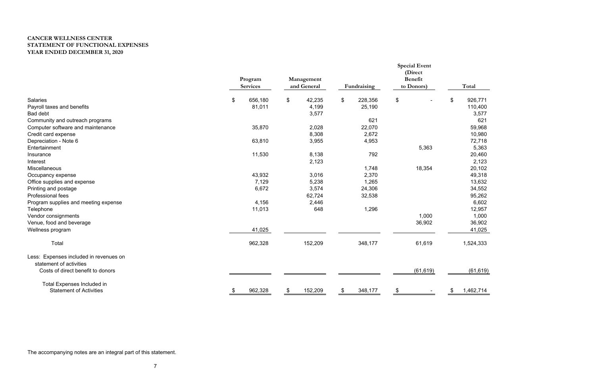# **CANCER WELLNESS CENTER STATEMENT OF FUNCTIONAL EXPENSES YEAR ENDED DECEMBER 31, 2020**

|                                        | Program<br><b>Services</b> | Management<br>and General | Fundraising   | <b>Special Event</b><br>(Direct<br><b>Benefit</b><br>to Donors) | Total           |
|----------------------------------------|----------------------------|---------------------------|---------------|-----------------------------------------------------------------|-----------------|
| <b>Salaries</b>                        | \$<br>656,180              | \$<br>42,235              | \$<br>228,356 | \$                                                              | \$<br>926,771   |
| Payroll taxes and benefits             | 81,011                     | 4,199                     | 25,190        |                                                                 | 110,400         |
| <b>Bad debt</b>                        |                            | 3,577                     |               |                                                                 | 3,577           |
| Community and outreach programs        |                            |                           | 621           |                                                                 | 621             |
| Computer software and maintenance      | 35,870                     | 2,028                     | 22,070        |                                                                 | 59,968          |
| Credit card expense                    |                            | 8,308                     | 2,672         |                                                                 | 10,980          |
| Depreciation - Note 6                  | 63,810                     | 3,955                     | 4,953         |                                                                 | 72,718          |
| Entertainment                          |                            |                           |               | 5,363                                                           | 5,363           |
| Insurance                              | 11,530                     | 8,138                     | 792           |                                                                 | 20,460          |
| Interest                               |                            | 2,123                     |               |                                                                 | 2,123           |
| Miscellaneous                          |                            |                           | 1,748         | 18,354                                                          | 20,102          |
| Occupancy expense                      | 43,932                     | 3,016                     | 2,370         |                                                                 | 49,318          |
| Office supplies and expense            | 7,129                      | 5,238                     | 1,265         |                                                                 | 13,632          |
| Printing and postage                   | 6,672                      | 3,574                     | 24,306        |                                                                 | 34,552          |
| Professional fees                      |                            | 62,724                    | 32,538        |                                                                 | 95,262          |
| Program supplies and meeting expense   | 4,156                      | 2,446                     |               |                                                                 | 6,602           |
| Telephone                              | 11,013                     | 648                       | 1,296         |                                                                 | 12,957          |
| Vendor consignments                    |                            |                           |               | 1,000                                                           | 1,000           |
| Venue, food and beverage               |                            |                           |               | 36,902                                                          | 36,902          |
| Wellness program                       | 41,025                     |                           |               |                                                                 | 41,025          |
| Total                                  | 962,328                    | 152,209                   | 348,177       | 61,619                                                          | 1,524,333       |
| Less: Expenses included in revenues on |                            |                           |               |                                                                 |                 |
| statement of activities                |                            |                           |               |                                                                 |                 |
| Costs of direct benefit to donors      |                            |                           |               | (61, 619)                                                       | (61, 619)       |
| <b>Total Expenses Included in</b>      |                            |                           |               |                                                                 |                 |
| <b>Statement of Activities</b>         | \$<br>962,328              | \$<br>152,209             | \$<br>348,177 | \$                                                              | \$<br>1,462,714 |

The accompanying notes are an integral part of this statement.

| Total                                                                                                                                                                            |
|----------------------------------------------------------------------------------------------------------------------------------------------------------------------------------|
| \$<br>926,771<br>110,400<br>3,577<br>621<br>59,968<br>10,980<br>72,718<br>5,363<br>20,460<br>2,123<br>20,102<br>49,318<br>13,632<br>34,552<br>95,262<br>6,602<br>12,957<br>1,000 |
| 36,902<br>41,025                                                                                                                                                                 |
| 1,524,333                                                                                                                                                                        |
| (61,619)                                                                                                                                                                         |
| \$<br>1,462,714                                                                                                                                                                  |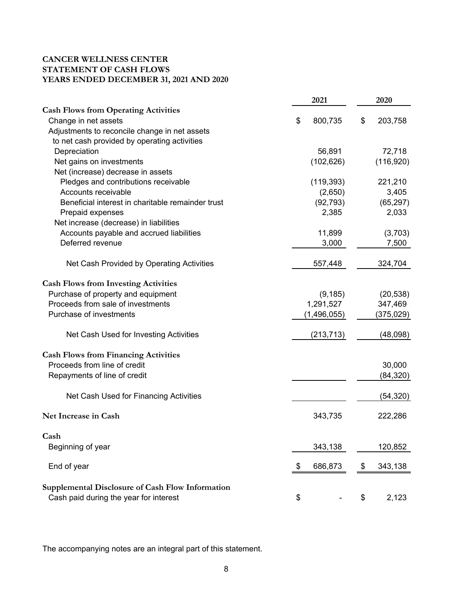## **CANCER WELLNESS CENTER STATEMENT OF CASH FLOWS YEARS ENDED DECEMBER 31, 2021 AND 2020**

|                                                         | 2021          |           | 2020       |
|---------------------------------------------------------|---------------|-----------|------------|
| <b>Cash Flows from Operating Activities</b>             |               |           |            |
| Change in net assets                                    | \$<br>800,735 | \$        | 203,758    |
| Adjustments to reconcile change in net assets           |               |           |            |
| to net cash provided by operating activities            |               |           |            |
| Depreciation                                            |               | 56,891    | 72,718     |
| Net gains on investments                                | (102, 626)    |           | (116, 920) |
| Net (increase) decrease in assets                       |               |           |            |
| Pledges and contributions receivable                    | (119, 393)    |           | 221,210    |
| Accounts receivable                                     |               | (2,650)   | 3,405      |
| Beneficial interest in charitable remainder trust       |               | (92, 793) | (65, 297)  |
| Prepaid expenses                                        |               | 2,385     | 2,033      |
| Net increase (decrease) in liabilities                  |               |           |            |
| Accounts payable and accrued liabilities                |               | 11,899    | (3,703)    |
| Deferred revenue                                        |               | 3,000     | 7,500      |
| Net Cash Provided by Operating Activities               | 557,448       |           | 324,704    |
| <b>Cash Flows from Investing Activities</b>             |               |           |            |
| Purchase of property and equipment                      |               | (9, 185)  | (20, 538)  |
| Proceeds from sale of investments                       | 1,291,527     |           | 347,469    |
| Purchase of investments                                 | (1,496,055)   |           | (375,029)  |
| Net Cash Used for Investing Activities                  | (213, 713)    |           | (48,098)   |
| <b>Cash Flows from Financing Activities</b>             |               |           |            |
| Proceeds from line of credit                            |               |           | 30,000     |
| Repayments of line of credit                            |               |           | (84, 320)  |
| Net Cash Used for Financing Activities                  |               |           | (54,320)   |
| Net Increase in Cash                                    | 343,735       |           | 222,286    |
| Cash                                                    |               |           |            |
| Beginning of year                                       | 343,138       |           | 120,852    |
| End of year                                             | 686,873<br>\$ | \$        | 343,138    |
| <b>Supplemental Disclosure of Cash Flow Information</b> |               |           |            |
| Cash paid during the year for interest                  | \$            | \$        | 2,123      |

The accompanying notes are an integral part of this statement.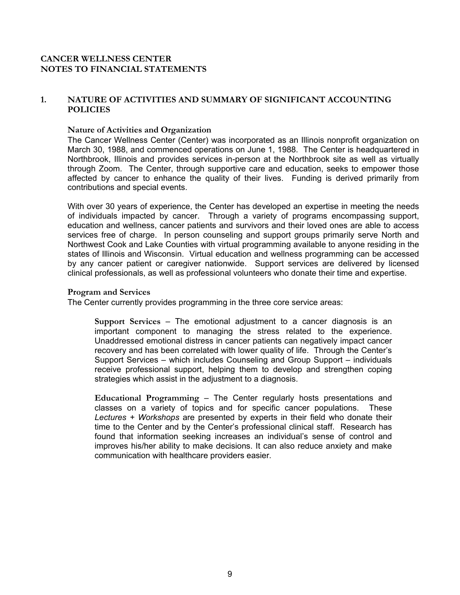#### **1. NATURE OF ACTIVITIES AND SUMMARY OF SIGNIFICANT ACCOUNTING POLICIES**

#### **Nature of Activities and Organization**

The Cancer Wellness Center (Center) was incorporated as an Illinois nonprofit organization on March 30, 1988, and commenced operations on June 1, 1988. The Center is headquartered in Northbrook, Illinois and provides services in-person at the Northbrook site as well as virtually through Zoom. The Center, through supportive care and education, seeks to empower those affected by cancer to enhance the quality of their lives. Funding is derived primarily from contributions and special events.

With over 30 years of experience, the Center has developed an expertise in meeting the needs of individuals impacted by cancer. Through a variety of programs encompassing support, education and wellness, cancer patients and survivors and their loved ones are able to access services free of charge. In person counseling and support groups primarily serve North and Northwest Cook and Lake Counties with virtual programming available to anyone residing in the states of Illinois and Wisconsin. Virtual education and wellness programming can be accessed by any cancer patient or caregiver nationwide. Support services are delivered by licensed clinical professionals, as well as professional volunteers who donate their time and expertise.

#### **Program and Services**

The Center currently provides programming in the three core service areas:

**Support Services** – The emotional adjustment to a cancer diagnosis is an important component to managing the stress related to the experience. Unaddressed emotional distress in cancer patients can negatively impact cancer recovery and has been correlated with lower quality of life. Through the Center's Support Services – which includes Counseling and Group Support – individuals receive professional support, helping them to develop and strengthen coping strategies which assist in the adjustment to a diagnosis.

**Educational Programming** – The Center regularly hosts presentations and classes on a variety of topics and for specific cancer populations. These *Lectures + Workshops* are presented by experts in their field who donate their time to the Center and by the Center's professional clinical staff. Research has found that information seeking increases an individual's sense of control and improves his/her ability to make decisions. It can also reduce anxiety and make communication with healthcare providers easier.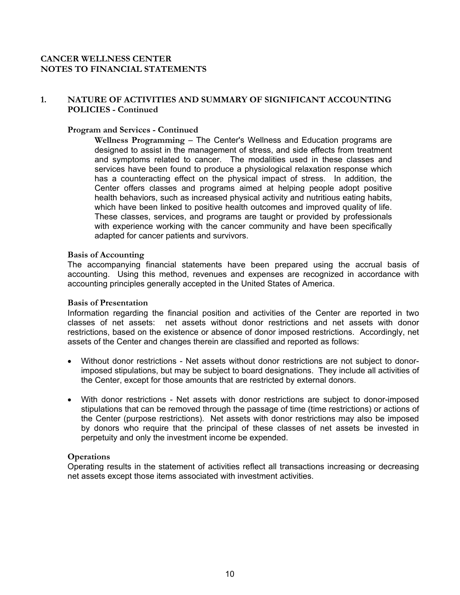## **1. NATURE OF ACTIVITIES AND SUMMARY OF SIGNIFICANT ACCOUNTING POLICIES - Continued**

#### **Program and Services - Continued**

**Wellness Programming** – The Center's Wellness and Education programs are designed to assist in the management of stress, and side effects from treatment and symptoms related to cancer. The modalities used in these classes and services have been found to produce a physiological relaxation response which has a counteracting effect on the physical impact of stress. In addition, the Center offers classes and programs aimed at helping people adopt positive health behaviors, such as increased physical activity and nutritious eating habits, which have been linked to positive health outcomes and improved quality of life. These classes, services, and programs are taught or provided by professionals with experience working with the cancer community and have been specifically adapted for cancer patients and survivors.

#### **Basis of Accounting**

The accompanying financial statements have been prepared using the accrual basis of accounting. Using this method, revenues and expenses are recognized in accordance with accounting principles generally accepted in the United States of America.

#### **Basis of Presentation**

Information regarding the financial position and activities of the Center are reported in two classes of net assets: net assets without donor restrictions and net assets with donor restrictions, based on the existence or absence of donor imposed restrictions. Accordingly, net assets of the Center and changes therein are classified and reported as follows:

- Without donor restrictions Net assets without donor restrictions are not subject to donorimposed stipulations, but may be subject to board designations. They include all activities of the Center, except for those amounts that are restricted by external donors.
- With donor restrictions Net assets with donor restrictions are subject to donor-imposed stipulations that can be removed through the passage of time (time restrictions) or actions of the Center (purpose restrictions). Net assets with donor restrictions may also be imposed by donors who require that the principal of these classes of net assets be invested in perpetuity and only the investment income be expended.

#### **Operations**

Operating results in the statement of activities reflect all transactions increasing or decreasing net assets except those items associated with investment activities.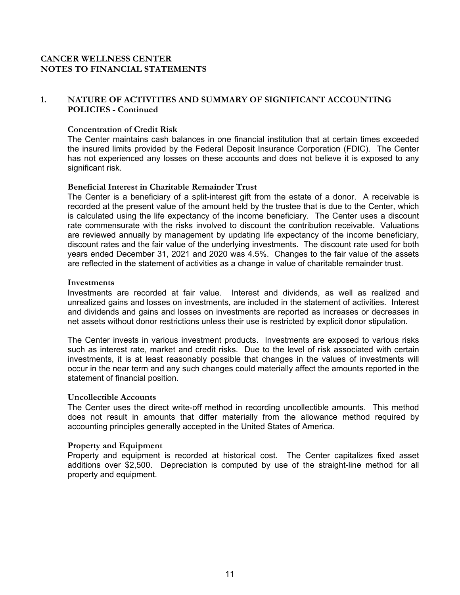## **1. NATURE OF ACTIVITIES AND SUMMARY OF SIGNIFICANT ACCOUNTING POLICIES - Continued**

#### **Concentration of Credit Risk**

The Center maintains cash balances in one financial institution that at certain times exceeded the insured limits provided by the Federal Deposit Insurance Corporation (FDIC). The Center has not experienced any losses on these accounts and does not believe it is exposed to any significant risk.

#### **Beneficial Interest in Charitable Remainder Trust**

The Center is a beneficiary of a split-interest gift from the estate of a donor. A receivable is recorded at the present value of the amount held by the trustee that is due to the Center, which is calculated using the life expectancy of the income beneficiary. The Center uses a discount rate commensurate with the risks involved to discount the contribution receivable. Valuations are reviewed annually by management by updating life expectancy of the income beneficiary, discount rates and the fair value of the underlying investments. The discount rate used for both years ended December 31, 2021 and 2020 was 4.5%. Changes to the fair value of the assets are reflected in the statement of activities as a change in value of charitable remainder trust.

#### **Investments**

Investments are recorded at fair value. Interest and dividends, as well as realized and unrealized gains and losses on investments, are included in the statement of activities. Interest and dividends and gains and losses on investments are reported as increases or decreases in net assets without donor restrictions unless their use is restricted by explicit donor stipulation.

The Center invests in various investment products. Investments are exposed to various risks such as interest rate, market and credit risks. Due to the level of risk associated with certain investments, it is at least reasonably possible that changes in the values of investments will occur in the near term and any such changes could materially affect the amounts reported in the statement of financial position.

#### **Uncollectible Accounts**

The Center uses the direct write-off method in recording uncollectible amounts. This method does not result in amounts that differ materially from the allowance method required by accounting principles generally accepted in the United States of America.

#### **Property and Equipment**

Property and equipment is recorded at historical cost. The Center capitalizes fixed asset additions over \$2,500. Depreciation is computed by use of the straight-line method for all property and equipment.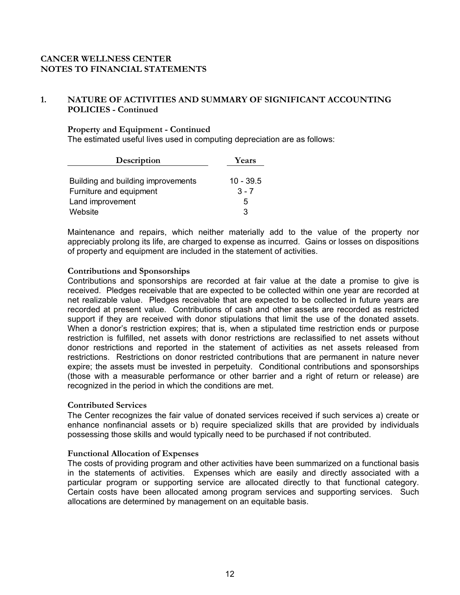## **1. NATURE OF ACTIVITIES AND SUMMARY OF SIGNIFICANT ACCOUNTING POLICIES - Continued**

#### **Property and Equipment - Continued**

The estimated useful lives used in computing depreciation are as follows:

| Description                        | Years       |
|------------------------------------|-------------|
|                                    |             |
| Building and building improvements | $10 - 39.5$ |
| Furniture and equipment            | $3 - 7$     |
| Land improvement                   | 5           |
| Website                            | ৭           |

Maintenance and repairs, which neither materially add to the value of the property nor appreciably prolong its life, are charged to expense as incurred. Gains or losses on dispositions of property and equipment are included in the statement of activities.

#### **Contributions and Sponsorships**

Contributions and sponsorships are recorded at fair value at the date a promise to give is received. Pledges receivable that are expected to be collected within one year are recorded at net realizable value. Pledges receivable that are expected to be collected in future years are recorded at present value. Contributions of cash and other assets are recorded as restricted support if they are received with donor stipulations that limit the use of the donated assets. When a donor's restriction expires; that is, when a stipulated time restriction ends or purpose restriction is fulfilled, net assets with donor restrictions are reclassified to net assets without donor restrictions and reported in the statement of activities as net assets released from restrictions. Restrictions on donor restricted contributions that are permanent in nature never expire; the assets must be invested in perpetuity. Conditional contributions and sponsorships (those with a measurable performance or other barrier and a right of return or release) are recognized in the period in which the conditions are met.

#### **Contributed Services**

The Center recognizes the fair value of donated services received if such services a) create or enhance nonfinancial assets or b) require specialized skills that are provided by individuals possessing those skills and would typically need to be purchased if not contributed.

#### **Functional Allocation of Expenses**

The costs of providing program and other activities have been summarized on a functional basis in the statements of activities. Expenses which are easily and directly associated with a particular program or supporting service are allocated directly to that functional category. Certain costs have been allocated among program services and supporting services. Such allocations are determined by management on an equitable basis.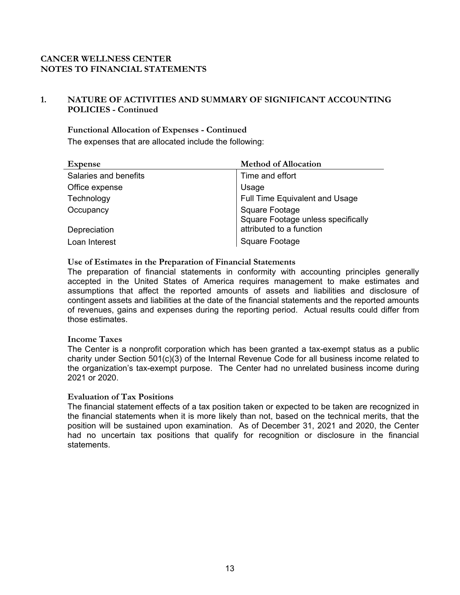# **1. NATURE OF ACTIVITIES AND SUMMARY OF SIGNIFICANT ACCOUNTING POLICIES - Continued**

**Functional Allocation of Expenses - Continued**  The expenses that are allocated include the following:

| <b>Expense</b>        | <b>Method of Allocation</b>        |
|-----------------------|------------------------------------|
| Salaries and benefits | Time and effort                    |
| Office expense        | Usage                              |
| Technology            | Full Time Equivalent and Usage     |
| Occupancy             | Square Footage                     |
|                       | Square Footage unless specifically |
| Depreciation          | attributed to a function           |
| Loan Interest         | Square Footage                     |

#### **Use of Estimates in the Preparation of Financial Statements**

The preparation of financial statements in conformity with accounting principles generally accepted in the United States of America requires management to make estimates and assumptions that affect the reported amounts of assets and liabilities and disclosure of contingent assets and liabilities at the date of the financial statements and the reported amounts of revenues, gains and expenses during the reporting period. Actual results could differ from those estimates.

#### **Income Taxes**

The Center is a nonprofit corporation which has been granted a tax-exempt status as a public charity under Section  $501(c)(3)$  of the Internal Revenue Code for all business income related to the organization's tax-exempt purpose. The Center had no unrelated business income during 2021 or 2020.

#### **Evaluation of Tax Positions**

The financial statement effects of a tax position taken or expected to be taken are recognized in the financial statements when it is more likely than not, based on the technical merits, that the position will be sustained upon examination. As of December 31, 2021 and 2020, the Center had no uncertain tax positions that qualify for recognition or disclosure in the financial statements.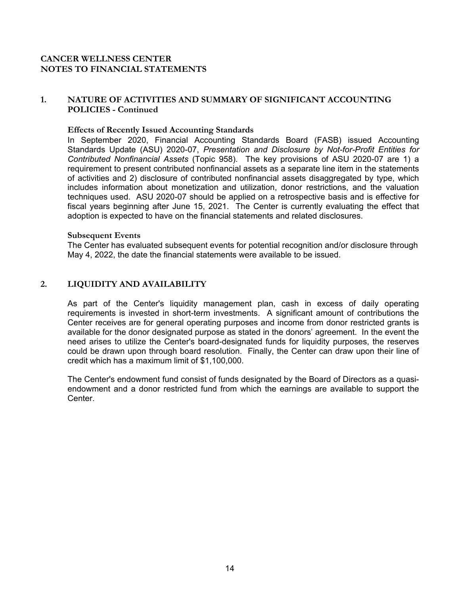## **1. NATURE OF ACTIVITIES AND SUMMARY OF SIGNIFICANT ACCOUNTING POLICIES - Continued**

#### **Effects of Recently Issued Accounting Standards**

In September 2020, Financial Accounting Standards Board (FASB) issued Accounting Standards Update (ASU) 2020-07, *Presentation and Disclosure by Not-for-Profit Entities for Contributed Nonfinancial Assets* (Topic 958). The key provisions of ASU 2020-07 are 1) a requirement to present contributed nonfinancial assets as a separate line item in the statements of activities and 2) disclosure of contributed nonfinancial assets disaggregated by type, which includes information about monetization and utilization, donor restrictions, and the valuation techniques used. ASU 2020-07 should be applied on a retrospective basis and is effective for fiscal years beginning after June 15, 2021. The Center is currently evaluating the effect that adoption is expected to have on the financial statements and related disclosures.

#### **Subsequent Events**

The Center has evaluated subsequent events for potential recognition and/or disclosure through May 4, 2022, the date the financial statements were available to be issued.

## **2. LIQUIDITY AND AVAILABILITY**

As part of the Center's liquidity management plan, cash in excess of daily operating requirements is invested in short-term investments. A significant amount of contributions the Center receives are for general operating purposes and income from donor restricted grants is available for the donor designated purpose as stated in the donors' agreement. In the event the need arises to utilize the Center's board-designated funds for liquidity purposes, the reserves could be drawn upon through board resolution. Finally, the Center can draw upon their line of credit which has a maximum limit of \$1,100,000.

The Center's endowment fund consist of funds designated by the Board of Directors as a quasiendowment and a donor restricted fund from which the earnings are available to support the **Center**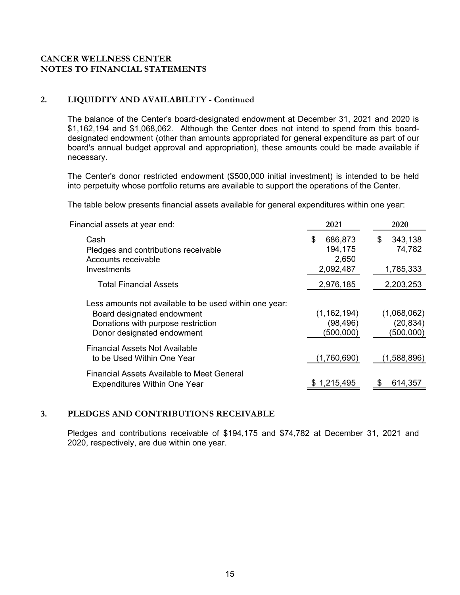## **2. LIQUIDITY AND AVAILABILITY - Continued**

The balance of the Center's board-designated endowment at December 31, 2021 and 2020 is \$1,162,194 and \$1,068,062. Although the Center does not intend to spend from this boarddesignated endowment (other than amounts appropriated for general expenditure as part of our board's annual budget approval and appropriation), these amounts could be made available if necessary.

The Center's donor restricted endowment (\$500,000 initial investment) is intended to be held into perpetuity whose portfolio returns are available to support the operations of the Center.

The table below presents financial assets available for general expenditures within one year:

| Financial assets at year end:                                                                                                                            | 2021                                    | 2020                                  |
|----------------------------------------------------------------------------------------------------------------------------------------------------------|-----------------------------------------|---------------------------------------|
| Cash<br>Pledges and contributions receivable<br>Accounts receivable                                                                                      | 686,873<br>\$.<br>194,175<br>2,650      | 343,138<br>\$<br>74,782               |
| Investments<br><b>Total Financial Assets</b>                                                                                                             | 2,092,487<br>2,976,185                  | 1,785,333<br>2,203,253                |
| Less amounts not available to be used within one year:<br>Board designated endowment<br>Donations with purpose restriction<br>Donor designated endowment | (1, 162, 194)<br>(98, 496)<br>(500,000) | (1,068,062)<br>(20, 834)<br>(500,000) |
| <b>Financial Assets Not Available</b><br>to be Used Within One Year                                                                                      | (1,760,690)                             | (1,588,896)                           |
| Financial Assets Available to Meet General<br><b>Expenditures Within One Year</b>                                                                        | \$1,215,495                             | 614,357                               |

## **3. PLEDGES AND CONTRIBUTIONS RECEIVABLE**

Pledges and contributions receivable of \$194,175 and \$74,782 at December 31, 2021 and 2020, respectively, are due within one year.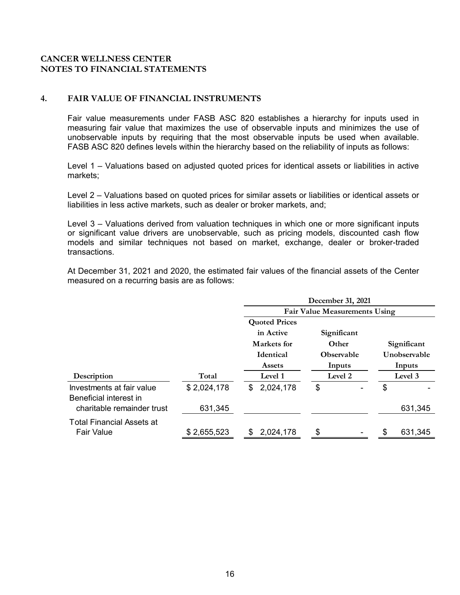#### **4. FAIR VALUE OF FINANCIAL INSTRUMENTS**

Fair value measurements under FASB ASC 820 establishes a hierarchy for inputs used in measuring fair value that maximizes the use of observable inputs and minimizes the use of unobservable inputs by requiring that the most observable inputs be used when available. FASB ASC 820 defines levels within the hierarchy based on the reliability of inputs as follows:

Level 1 – Valuations based on adjusted quoted prices for identical assets or liabilities in active markets;

Level 2 – Valuations based on quoted prices for similar assets or liabilities or identical assets or liabilities in less active markets, such as dealer or broker markets, and;

Level 3 – Valuations derived from valuation techniques in which one or more significant inputs or significant value drivers are unobservable, such as pricing models, discounted cash flow models and similar techniques not based on market, exchange, dealer or broker-traded transactions.

At December 31, 2021 and 2020, the estimated fair values of the financial assets of the Center measured on a recurring basis are as follows:

|                                                      |             | December 31, 2021                    |                   |               |  |
|------------------------------------------------------|-------------|--------------------------------------|-------------------|---------------|--|
|                                                      |             | <b>Fair Value Measurements Using</b> |                   |               |  |
|                                                      |             | <b>Quoted Prices</b>                 |                   |               |  |
|                                                      |             | in Active                            | Significant       |               |  |
|                                                      |             | Markets for                          | Other             | Significant   |  |
|                                                      |             | <b>Identical</b>                     | <b>Observable</b> |               |  |
|                                                      |             | <b>Assets</b><br>Inputs              |                   | Inputs        |  |
| Description                                          | Total       | Level 1                              | Level 2           | Level 3       |  |
| Investments at fair value                            | \$2,024,178 | \$2,024,178                          | \$                | \$            |  |
| Beneficial interest in<br>charitable remainder trust | 631,345     |                                      |                   | 631,345       |  |
| <b>Total Financial Assets at</b>                     |             |                                      |                   |               |  |
| <b>Fair Value</b>                                    | \$2,655,523 | 2,024,178                            | \$                | \$<br>631,345 |  |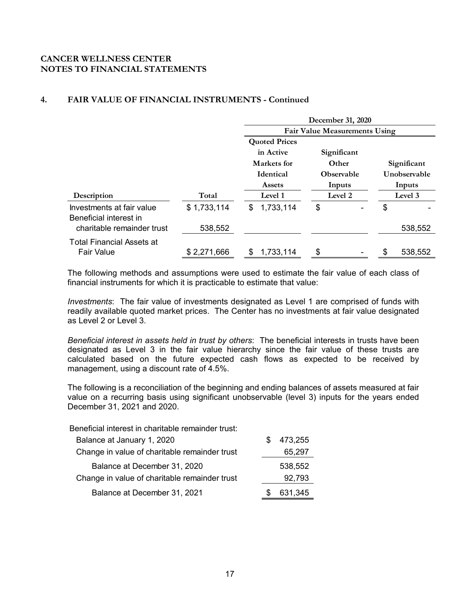# **4. FAIR VALUE OF FINANCIAL INSTRUMENTS - Continued**

|                                                      |             | December 31, 2020       |                                      |    |              |  |  |
|------------------------------------------------------|-------------|-------------------------|--------------------------------------|----|--------------|--|--|
|                                                      |             |                         | <b>Fair Value Measurements Using</b> |    |              |  |  |
|                                                      |             | <b>Quoted Prices</b>    |                                      |    |              |  |  |
|                                                      |             | in Active               | Significant                          |    |              |  |  |
|                                                      |             | Markets for             | <b>Other</b>                         |    | Significant  |  |  |
|                                                      |             | <b>Identical</b>        | <b>Observable</b>                    |    | Unobservable |  |  |
|                                                      |             | Inputs<br><b>Assets</b> |                                      |    | Inputs       |  |  |
| Description                                          | Total       | Level 1                 | Level 2                              |    | Level 3      |  |  |
| Investments at fair value                            | \$1,733,114 | 1,733,114<br>\$         | \$                                   | \$ |              |  |  |
| Beneficial interest in<br>charitable remainder trust | 538,552     |                         |                                      |    | 538,552      |  |  |
| <b>Total Financial Assets at</b>                     |             |                         |                                      |    |              |  |  |
| <b>Fair Value</b>                                    | \$2,271,666 | 1,733,114               | \$                                   | \$ | 538,552      |  |  |

The following methods and assumptions were used to estimate the fair value of each class of financial instruments for which it is practicable to estimate that value:

*Investments*: The fair value of investments designated as Level 1 are comprised of funds with readily available quoted market prices. The Center has no investments at fair value designated as Level 2 or Level 3.

*Beneficial interest in assets held in trust by others*: The beneficial interests in trusts have been designated as Level 3 in the fair value hierarchy since the fair value of these trusts are calculated based on the future expected cash flows as expected to be received by management, using a discount rate of 4.5%.

The following is a reconciliation of the beginning and ending balances of assets measured at fair value on a recurring basis using significant unobservable (level 3) inputs for the years ended December 31, 2021 and 2020.

Beneficial interest in charitable remainder trust:

| Balance at January 1, 2020                    | 473,255 |
|-----------------------------------------------|---------|
| Change in value of charitable remainder trust | 65,297  |
| Balance at December 31, 2020                  | 538,552 |
| Change in value of charitable remainder trust | 92,793  |
| Balance at December 31, 2021                  | 631,345 |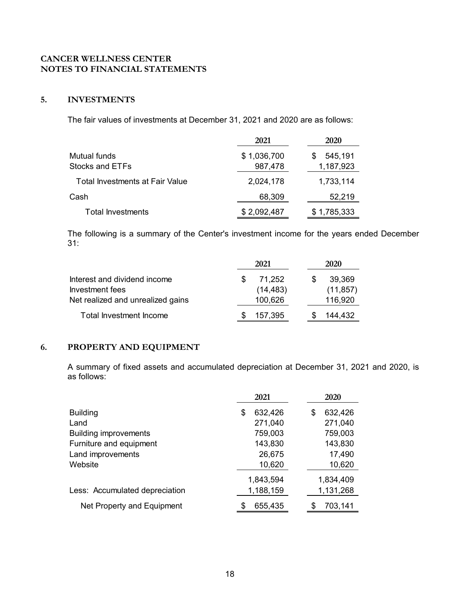# **5. INVESTMENTS**

The fair values of investments at December 31, 2021 and 2020 are as follows:

|                                        | 2021        | 2020        |
|----------------------------------------|-------------|-------------|
| Mutual funds                           | \$1,036,700 | 545,191     |
| Stocks and ETFs                        | 987,478     | 1,187,923   |
| <b>Total Investments at Fair Value</b> | 2,024,178   | 1,733,114   |
| Cash                                   | 68,309      | 52,219      |
| <b>Total Investments</b>               | \$2,092,487 | \$1,785,333 |

The following is a summary of the Center's investment income for the years ended December 31:

|                                   | 2021 |           |  | 2020      |  |  |
|-----------------------------------|------|-----------|--|-----------|--|--|
| Interest and dividend income      |      | 71,252    |  | 39,369    |  |  |
| Investment fees                   |      | (14, 483) |  | (11, 857) |  |  |
| Net realized and unrealized gains |      | 100,626   |  | 116,920   |  |  |
| Total Investment Income           |      | 157,395   |  | 144,432   |  |  |

## **6. PROPERTY AND EQUIPMENT**

A summary of fixed assets and accumulated depreciation at December 31, 2021 and 2020, is as follows:

|                                | 2021          | 2020         |
|--------------------------------|---------------|--------------|
| <b>Building</b>                | 632,426<br>S  | 632,426<br>S |
| Land                           | 271,040       | 271,040      |
| <b>Building improvements</b>   | 759,003       | 759,003      |
| Furniture and equipment        | 143,830       | 143,830      |
| Land improvements              | 26,675        | 17,490       |
| Website                        | 10,620        | 10,620       |
|                                | 1,843,594     | 1,834,409    |
| Less: Accumulated depreciation | 1,188,159     | 1,131,268    |
| Net Property and Equipment     | 655,435<br>\$ | 703,141      |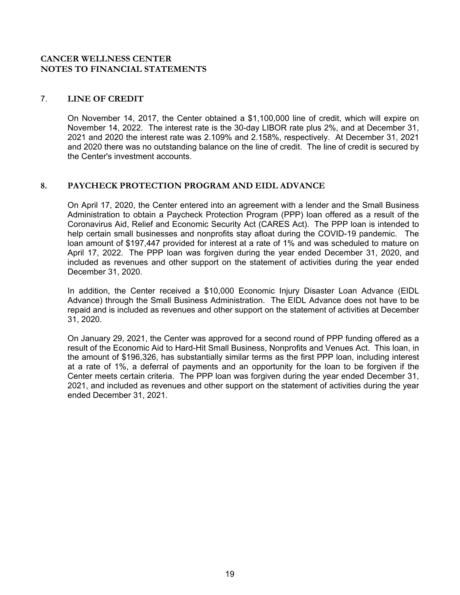## 7. **LINE OF CREDIT**

On November 14, 2017, the Center obtained a \$1,100,000 line of credit, which will expire on November 14, 2022. The interest rate is the 30-day LIBOR rate plus 2%, and at December 31, 2021 and 2020 the interest rate was 2.109% and 2.158%, respectively. At December 31, 2021 and 2020 there was no outstanding balance on the line of credit. The line of credit is secured by the Center's investment accounts.

## **8. PAYCHECK PROTECTION PROGRAM AND EIDL ADVANCE**

On April 17, 2020, the Center entered into an agreement with a lender and the Small Business Administration to obtain a Paycheck Protection Program (PPP) loan offered as a result of the Coronavirus Aid, Relief and Economic Security Act (CARES Act). The PPP loan is intended to help certain small businesses and nonprofits stay afloat during the COVID-19 pandemic. The loan amount of \$197,447 provided for interest at a rate of 1% and was scheduled to mature on April 17, 2022. The PPP loan was forgiven during the year ended December 31, 2020, and included as revenues and other support on the statement of activities during the year ended December 31, 2020.

In addition, the Center received a \$10,000 Economic Injury Disaster Loan Advance (EIDL Advance) through the Small Business Administration. The EIDL Advance does not have to be repaid and is included as revenues and other support on the statement of activities at December 31, 2020.

 On January 29, 2021, the Center was approved for a second round of PPP funding offered as a result of the Economic Aid to Hard-Hit Small Business, Nonprofits and Venues Act. This loan, in the amount of \$196,326, has substantially similar terms as the first PPP loan, including interest at a rate of 1%, a deferral of payments and an opportunity for the loan to be forgiven if the Center meets certain criteria. The PPP loan was forgiven during the year ended December 31, 2021, and included as revenues and other support on the statement of activities during the year ended December 31, 2021.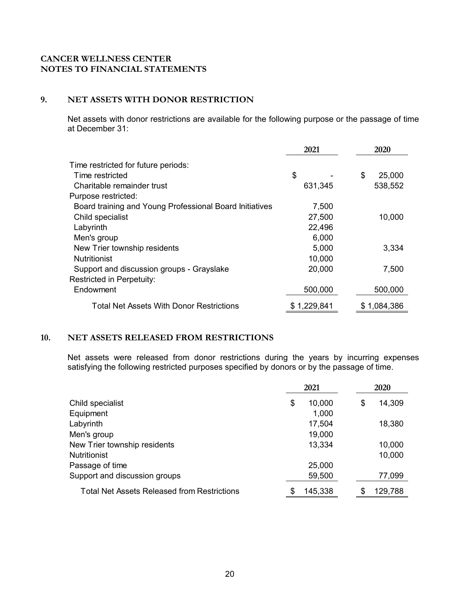## **9. NET ASSETS WITH DONOR RESTRICTION**

Net assets with donor restrictions are available for the following purpose or the passage of time at December 31:

|                                                         | 2021        | 2020         |
|---------------------------------------------------------|-------------|--------------|
| Time restricted for future periods:                     |             |              |
| Time restricted                                         | \$          | \$<br>25,000 |
| Charitable remainder trust                              | 631,345     | 538,552      |
| Purpose restricted:                                     |             |              |
| Board training and Young Professional Board Initiatives | 7,500       |              |
| Child specialist                                        | 27,500      | 10,000       |
| Labyrinth                                               | 22,496      |              |
| Men's group                                             | 6,000       |              |
| New Trier township residents                            | 5,000       | 3,334        |
| <b>Nutritionist</b>                                     | 10,000      |              |
| Support and discussion groups - Grayslake               | 20,000      | 7,500        |
| Restricted in Perpetuity:                               |             |              |
| Endowment                                               | 500,000     | 500,000      |
| <b>Total Net Assets With Donor Restrictions</b>         | \$1,229,841 | \$1,084,386  |

## **10. NET ASSETS RELEASED FROM RESTRICTIONS**

Net assets were released from donor restrictions during the years by incurring expenses satisfying the following restricted purposes specified by donors or by the passage of time.

|                                                    | 2021         | 2020         |
|----------------------------------------------------|--------------|--------------|
| Child specialist                                   | 10,000<br>\$ | 14,309<br>\$ |
| Equipment                                          | 1,000        |              |
| Labyrinth                                          | 17,504       | 18,380       |
| Men's group                                        | 19,000       |              |
| New Trier township residents                       | 13,334       | 10,000       |
| <b>Nutritionist</b>                                |              | 10,000       |
| Passage of time                                    | 25,000       |              |
| Support and discussion groups                      | 59,500       | 77,099       |
| <b>Total Net Assets Released from Restrictions</b> | 145,338      | 129,788      |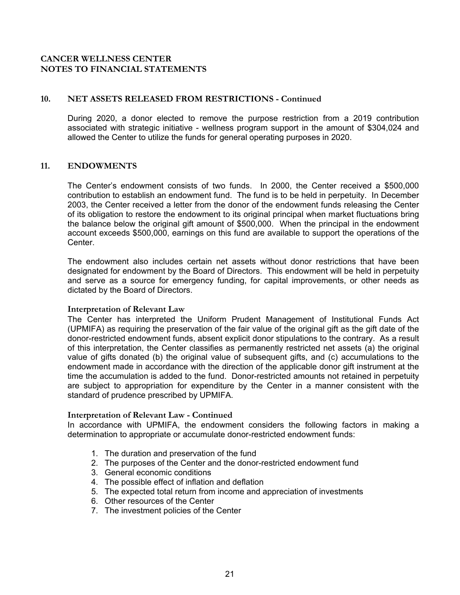## **10. NET ASSETS RELEASED FROM RESTRICTIONS - Continued**

During 2020, a donor elected to remove the purpose restriction from a 2019 contribution associated with strategic initiative - wellness program support in the amount of \$304,024 and allowed the Center to utilize the funds for general operating purposes in 2020.

#### **11. ENDOWMENTS**

The Center's endowment consists of two funds. In 2000, the Center received a \$500,000 contribution to establish an endowment fund. The fund is to be held in perpetuity. In December 2003, the Center received a letter from the donor of the endowment funds releasing the Center of its obligation to restore the endowment to its original principal when market fluctuations bring the balance below the original gift amount of \$500,000. When the principal in the endowment account exceeds \$500,000, earnings on this fund are available to support the operations of the Center.

The endowment also includes certain net assets without donor restrictions that have been designated for endowment by the Board of Directors. This endowment will be held in perpetuity and serve as a source for emergency funding, for capital improvements, or other needs as dictated by the Board of Directors.

#### **Interpretation of Relevant Law**

The Center has interpreted the Uniform Prudent Management of Institutional Funds Act (UPMIFA) as requiring the preservation of the fair value of the original gift as the gift date of the donor-restricted endowment funds, absent explicit donor stipulations to the contrary. As a result of this interpretation, the Center classifies as permanently restricted net assets (a) the original value of gifts donated (b) the original value of subsequent gifts, and (c) accumulations to the endowment made in accordance with the direction of the applicable donor gift instrument at the time the accumulation is added to the fund. Donor-restricted amounts not retained in perpetuity are subject to appropriation for expenditure by the Center in a manner consistent with the standard of prudence prescribed by UPMIFA.

#### **Interpretation of Relevant Law - Continued**

In accordance with UPMIFA, the endowment considers the following factors in making a determination to appropriate or accumulate donor-restricted endowment funds:

- 1. The duration and preservation of the fund
- 2. The purposes of the Center and the donor-restricted endowment fund
- 3. General economic conditions
- 4. The possible effect of inflation and deflation
- 5. The expected total return from income and appreciation of investments
- 6. Other resources of the Center
- 7. The investment policies of the Center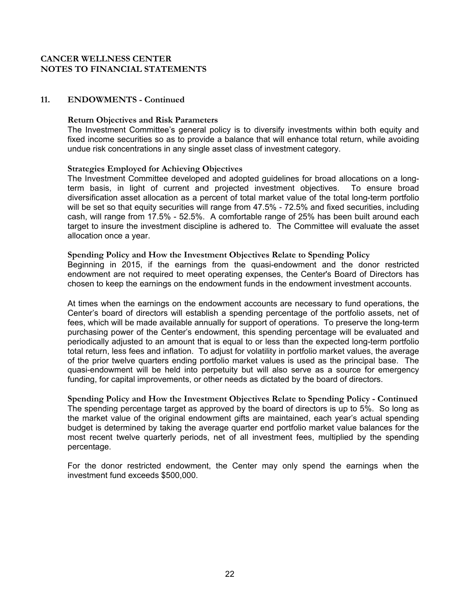#### **11. ENDOWMENTS - Continued**

#### **Return Objectives and Risk Parameters**

The Investment Committee's general policy is to diversify investments within both equity and fixed income securities so as to provide a balance that will enhance total return, while avoiding undue risk concentrations in any single asset class of investment category.

#### **Strategies Employed for Achieving Objectives**

The Investment Committee developed and adopted guidelines for broad allocations on a longterm basis, in light of current and projected investment objectives. To ensure broad diversification asset allocation as a percent of total market value of the total long-term portfolio will be set so that equity securities will range from 47.5% - 72.5% and fixed securities, including cash, will range from 17.5% - 52.5%. A comfortable range of 25% has been built around each target to insure the investment discipline is adhered to. The Committee will evaluate the asset allocation once a year.

#### **Spending Policy and How the Investment Objectives Relate to Spending Policy**

Beginning in 2015, if the earnings from the quasi-endowment and the donor restricted endowment are not required to meet operating expenses, the Center's Board of Directors has chosen to keep the earnings on the endowment funds in the endowment investment accounts.

At times when the earnings on the endowment accounts are necessary to fund operations, the Center's board of directors will establish a spending percentage of the portfolio assets, net of fees, which will be made available annually for support of operations. To preserve the long-term purchasing power of the Center's endowment, this spending percentage will be evaluated and periodically adjusted to an amount that is equal to or less than the expected long-term portfolio total return, less fees and inflation. To adjust for volatility in portfolio market values, the average of the prior twelve quarters ending portfolio market values is used as the principal base. The quasi-endowment will be held into perpetuity but will also serve as a source for emergency funding, for capital improvements, or other needs as dictated by the board of directors.

**Spending Policy and How the Investment Objectives Relate to Spending Policy - Continued**  The spending percentage target as approved by the board of directors is up to 5%. So long as the market value of the original endowment gifts are maintained, each year's actual spending budget is determined by taking the average quarter end portfolio market value balances for the most recent twelve quarterly periods, net of all investment fees, multiplied by the spending percentage.

For the donor restricted endowment, the Center may only spend the earnings when the investment fund exceeds \$500,000.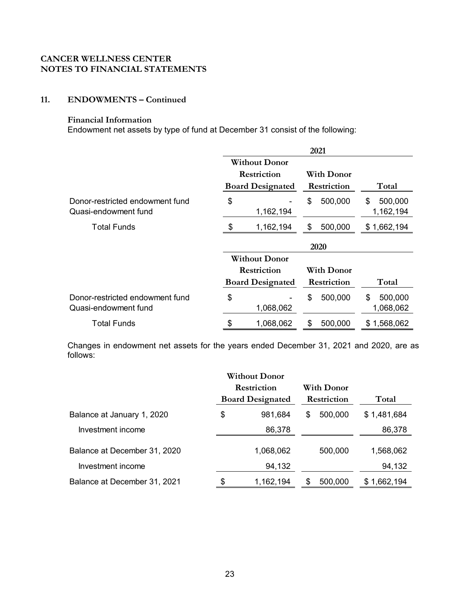# **11. ENDOWMENTS – Continued**

## **Financial Information**

Endowment net assets by type of fund at December 31 consist of the following:

|                                                         |                         | 2021               |                            |
|---------------------------------------------------------|-------------------------|--------------------|----------------------------|
|                                                         | <b>Without Donor</b>    |                    |                            |
|                                                         | Restriction             | <b>With Donor</b>  |                            |
|                                                         | <b>Board Designated</b> | <b>Restriction</b> | Total                      |
| Donor-restricted endowment fund<br>Quasi-endowment fund | \$<br>1,162,194         | \$<br>500,000      | \$<br>500,000<br>1,162,194 |
| Total Funds                                             | \$<br>1,162,194         | \$<br>500,000      | \$1,662,194                |
|                                                         |                         | 2020               |                            |
|                                                         | <b>Without Donor</b>    |                    |                            |
|                                                         | Restriction             | With Donor         |                            |
|                                                         | <b>Board Designated</b> | Restriction        | Total                      |
| Donor-restricted endowment fund<br>Quasi-endowment fund | \$<br>1,068,062         | \$<br>500,000      | \$<br>500,000<br>1,068,062 |
| <b>Total Funds</b>                                      | \$<br>1,068,062         | \$<br>500,000      | \$1,568,062                |

Changes in endowment net assets for the years ended December 31, 2021 and 2020, are as follows:

|                              |             | <b>Without Donor</b>    |    |             |             |
|------------------------------|-------------|-------------------------|----|-------------|-------------|
|                              | Restriction |                         |    | With Donor  |             |
|                              |             | <b>Board Designated</b> |    | Restriction | Total       |
| Balance at January 1, 2020   | \$          | 981,684                 | \$ | 500,000     | \$1,481,684 |
| Investment income            |             | 86,378                  |    |             | 86,378      |
| Balance at December 31, 2020 |             | 1,068,062               |    | 500,000     | 1,568,062   |
| Investment income            |             | 94,132                  |    |             | 94,132      |
| Balance at December 31, 2021 |             | 1,162,194               |    | 500,000     | \$1,662,194 |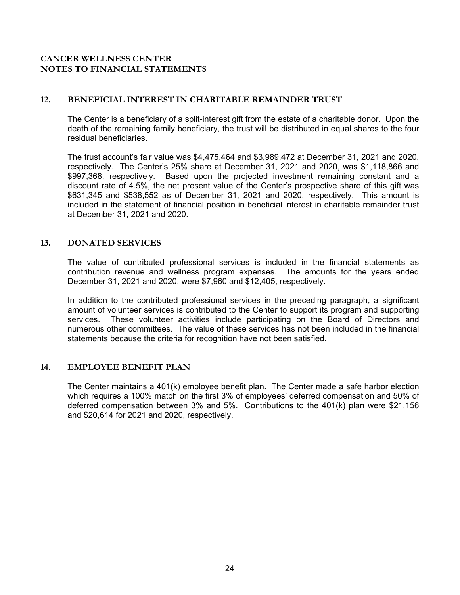## **12. BENEFICIAL INTEREST IN CHARITABLE REMAINDER TRUST**

The Center is a beneficiary of a split-interest gift from the estate of a charitable donor. Upon the death of the remaining family beneficiary, the trust will be distributed in equal shares to the four residual beneficiaries.

The trust account's fair value was \$4,475,464 and \$3,989,472 at December 31, 2021 and 2020, respectively. The Center's 25% share at December 31, 2021 and 2020, was \$1,118,866 and \$997,368, respectively. Based upon the projected investment remaining constant and a discount rate of 4.5%, the net present value of the Center's prospective share of this gift was \$631,345 and \$538,552 as of December 31, 2021 and 2020, respectively. This amount is included in the statement of financial position in beneficial interest in charitable remainder trust at December 31, 2021 and 2020.

## **13. DONATED SERVICES**

The value of contributed professional services is included in the financial statements as contribution revenue and wellness program expenses. The amounts for the years ended December 31, 2021 and 2020, were \$7,960 and \$12,405, respectively.

In addition to the contributed professional services in the preceding paragraph, a significant amount of volunteer services is contributed to the Center to support its program and supporting services. These volunteer activities include participating on the Board of Directors and numerous other committees. The value of these services has not been included in the financial statements because the criteria for recognition have not been satisfied.

## **14. EMPLOYEE BENEFIT PLAN**

The Center maintains a 401(k) employee benefit plan. The Center made a safe harbor election which requires a 100% match on the first 3% of employees' deferred compensation and 50% of deferred compensation between 3% and 5%. Contributions to the 401(k) plan were \$21,156 and \$20,614 for 2021 and 2020, respectively.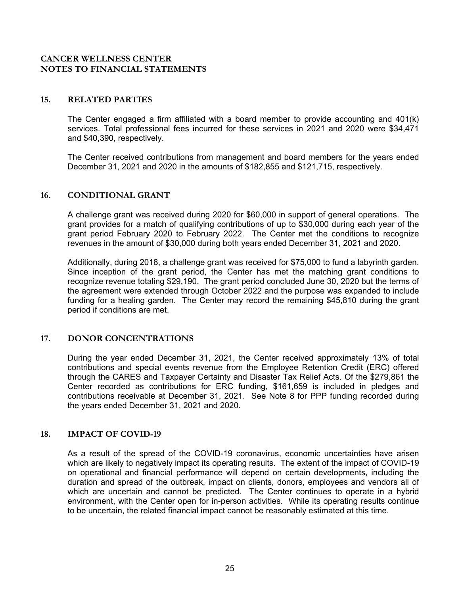#### **15. RELATED PARTIES**

The Center engaged a firm affiliated with a board member to provide accounting and 401(k) services. Total professional fees incurred for these services in 2021 and 2020 were \$34,471 and \$40,390, respectively.

The Center received contributions from management and board members for the years ended December 31, 2021 and 2020 in the amounts of \$182,855 and \$121,715, respectively.

#### **16. CONDITIONAL GRANT**

A challenge grant was received during 2020 for \$60,000 in support of general operations. The grant provides for a match of qualifying contributions of up to \$30,000 during each year of the grant period February 2020 to February 2022. The Center met the conditions to recognize revenues in the amount of \$30,000 during both years ended December 31, 2021 and 2020.

Additionally, during 2018, a challenge grant was received for \$75,000 to fund a labyrinth garden. Since inception of the grant period, the Center has met the matching grant conditions to recognize revenue totaling \$29,190. The grant period concluded June 30, 2020 but the terms of the agreement were extended through October 2022 and the purpose was expanded to include funding for a healing garden. The Center may record the remaining \$45,810 during the grant period if conditions are met.

## **17. DONOR CONCENTRATIONS**

During the year ended December 31, 2021, the Center received approximately 13% of total contributions and special events revenue from the Employee Retention Credit (ERC) offered through the CARES and Taxpayer Certainty and Disaster Tax Relief Acts. Of the \$279,861 the Center recorded as contributions for ERC funding, \$161,659 is included in pledges and contributions receivable at December 31, 2021. See Note 8 for PPP funding recorded during the years ended December 31, 2021 and 2020.

## **18. IMPACT OF COVID-19**

As a result of the spread of the COVID-19 coronavirus, economic uncertainties have arisen which are likely to negatively impact its operating results. The extent of the impact of COVID-19 on operational and financial performance will depend on certain developments, including the duration and spread of the outbreak, impact on clients, donors, employees and vendors all of which are uncertain and cannot be predicted. The Center continues to operate in a hybrid environment, with the Center open for in-person activities. While its operating results continue to be uncertain, the related financial impact cannot be reasonably estimated at this time.